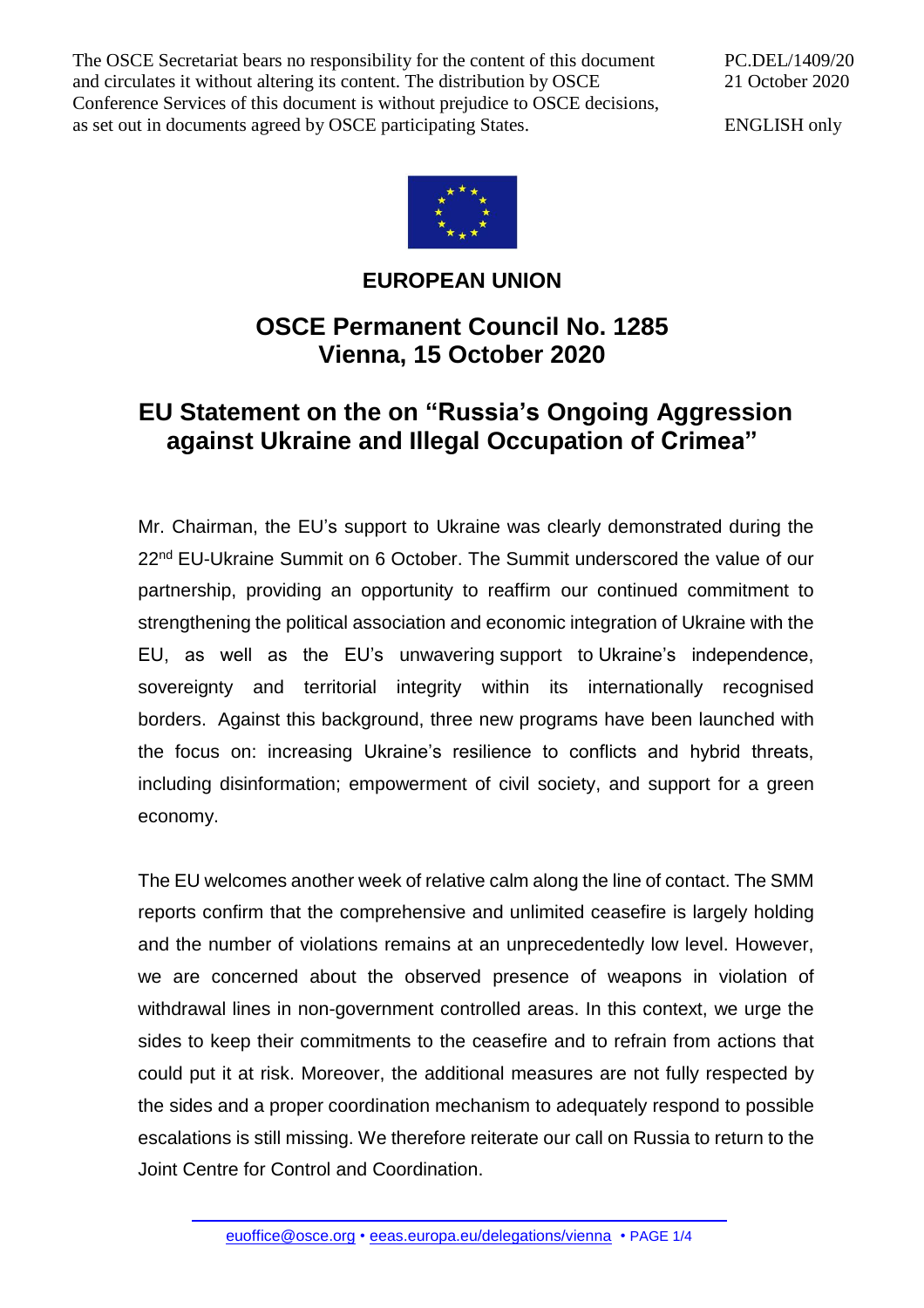The OSCE Secretariat bears no responsibility for the content of this document and circulates it without altering its content. The distribution by OSCE Conference Services of this document is without prejudice to OSCE decisions, as set out in documents agreed by OSCE participating States.

PC.DEL/1409/20 21 October 2020

ENGLISH only



**EUROPEAN UNION**

## **OSCE Permanent Council No. 1285 Vienna, 15 October 2020**

## **EU Statement on the on "Russia's Ongoing Aggression against Ukraine and Illegal Occupation of Crimea"**

Mr. Chairman, the EU's support to Ukraine was clearly demonstrated during the 22<sup>nd</sup> EU-Ukraine Summit on 6 October. The Summit underscored the value of our partnership, providing an opportunity to reaffirm our continued commitment to strengthening the political association and economic integration of Ukraine with the EU, as well as the EU's unwavering support to Ukraine's independence, sovereignty and territorial integrity within its internationally recognised borders. Against this background, three new programs have been launched with the focus on: increasing Ukraine's resilience to conflicts and hybrid threats, including disinformation; empowerment of civil society, and [support for a green](https://ec.europa.eu/commission/presscorner/detail/en/ip_20_1802)  [economy.](https://ec.europa.eu/commission/presscorner/detail/en/ip_20_1802)

The EU welcomes another week of relative calm along the line of contact. The SMM reports confirm that the comprehensive and unlimited ceasefire is largely holding and the number of violations remains at an unprecedentedly low level. However, we are concerned about the observed presence of weapons in violation of withdrawal lines in non-government controlled areas. In this context, we urge the sides to keep their commitments to the ceasefire and to refrain from actions that could put it at risk. Moreover, the additional measures are not fully respected by the sides and a proper coordination mechanism to adequately respond to possible escalations is still missing. We therefore reiterate our call on Russia to return to the Joint Centre for Control and Coordination.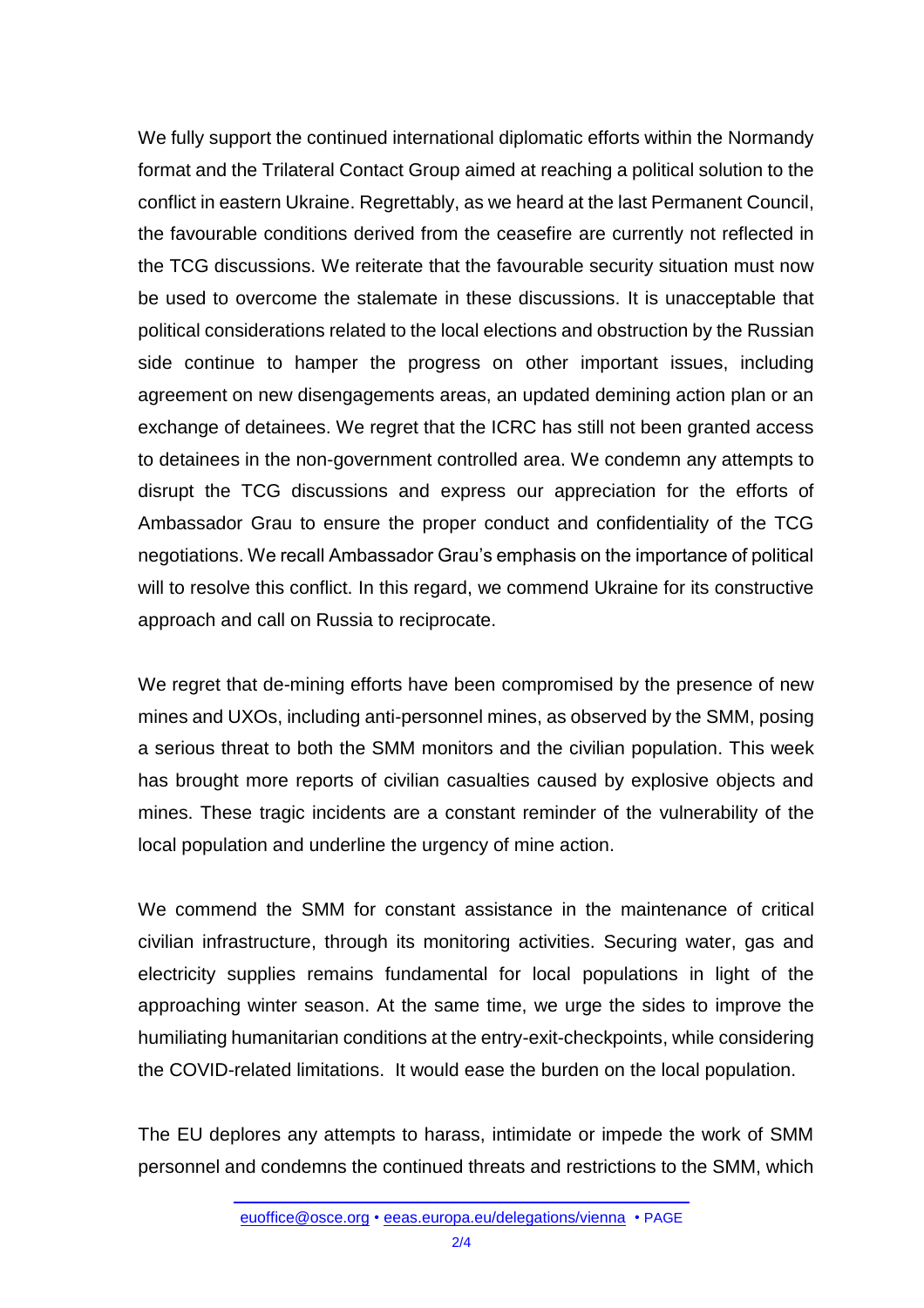We fully support the continued international diplomatic efforts within the Normandy format and the Trilateral Contact Group aimed at reaching a political solution to the conflict in eastern Ukraine. Regrettably, as we heard at the last Permanent Council, the favourable conditions derived from the ceasefire are currently not reflected in the TCG discussions. We reiterate that the favourable security situation must now be used to overcome the stalemate in these discussions. It is unacceptable that political considerations related to the local elections and obstruction by the Russian side continue to hamper the progress on other important issues, including agreement on new disengagements areas, an updated demining action plan or an exchange of detainees. We regret that the ICRC has still not been granted access to detainees in the non-government controlled area. We condemn any attempts to disrupt the TCG discussions and express our appreciation for the efforts of Ambassador Grau to ensure the proper conduct and confidentiality of the TCG negotiations. We recall Ambassador Grau's emphasis on the importance of political will to resolve this conflict. In this regard, we commend Ukraine for its constructive approach and call on Russia to reciprocate.

We regret that de-mining efforts have been compromised by the presence of new mines and UXOs, including anti-personnel mines, as observed by the SMM, posing a serious threat to both the SMM monitors and the civilian population. This week has brought more reports of civilian casualties caused by explosive objects and mines. These tragic incidents are a constant reminder of the vulnerability of the local population and underline the urgency of mine action.

We commend the SMM for constant assistance in the maintenance of critical civilian infrastructure, through its monitoring activities. Securing water, gas and electricity supplies remains fundamental for local populations in light of the approaching winter season. At the same time, we urge the sides to improve the humiliating humanitarian conditions at the entry-exit-checkpoints, while considering the COVID-related limitations. It would ease the burden on the local population.

The EU deplores any attempts to harass, intimidate or impede the work of SMM personnel and condemns the continued threats and restrictions to the SMM, which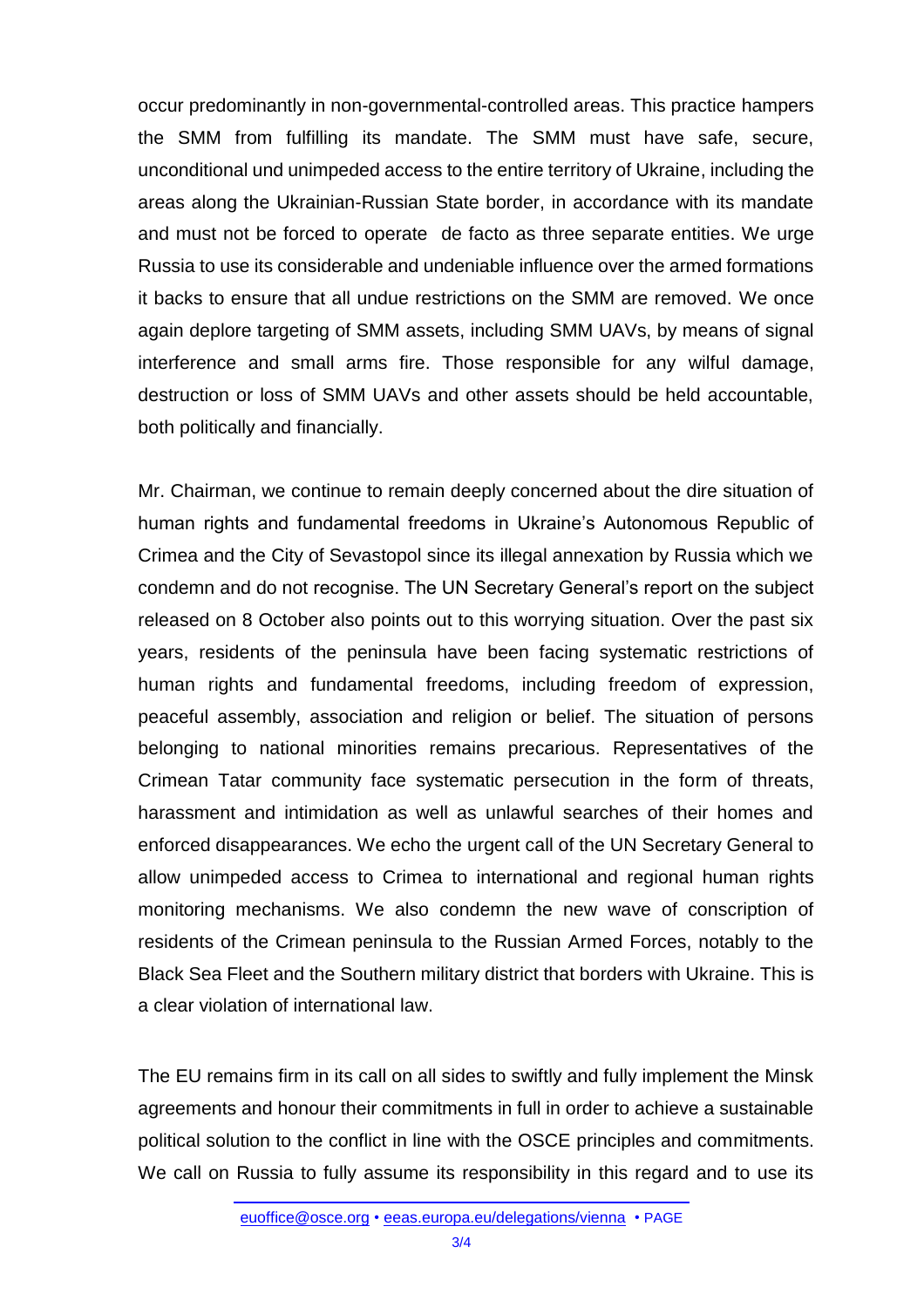occur predominantly in non-governmental-controlled areas. This practice hampers the SMM from fulfilling its mandate. The SMM must have safe, secure, unconditional und unimpeded access to the entire territory of Ukraine, including the areas along the Ukrainian-Russian State border, in accordance with its mandate and must not be forced to operate de facto as three separate entities. We urge Russia to use its considerable and undeniable influence over the armed formations it backs to ensure that all undue restrictions on the SMM are removed. We once again deplore targeting of SMM assets, including SMM UAVs, by means of signal interference and small arms fire. Those responsible for any wilful damage, destruction or loss of SMM UAVs and other assets should be held accountable, both politically and financially.

Mr. Chairman, we continue to remain deeply concerned about the dire situation of human rights and fundamental freedoms in Ukraine's Autonomous Republic of Crimea and the City of Sevastopol since its illegal annexation by Russia which we condemn and do not recognise. The UN Secretary General's report on the subject released on 8 October also points out to this worrying situation. Over the past six years, residents of the peninsula have been facing systematic restrictions of human rights and fundamental freedoms, including freedom of expression, peaceful assembly, association and religion or belief. The situation of persons belonging to national minorities remains precarious. Representatives of the Crimean Tatar community face systematic persecution in the form of threats, harassment and intimidation as well as unlawful searches of their homes and enforced disappearances. We echo the urgent call of the UN Secretary General to allow unimpeded access to Crimea to international and regional human rights monitoring mechanisms. We also condemn the new wave of conscription of residents of the Crimean peninsula to the Russian Armed Forces, notably to the Black Sea Fleet and the Southern military district that borders with Ukraine. This is a clear violation of international law.

The EU remains firm in its call on all sides to swiftly and fully implement the Minsk agreements and honour their commitments in full in order to achieve a sustainable political solution to the conflict in line with the OSCE principles and commitments. We call on Russia to fully assume its responsibility in this regard and to use its